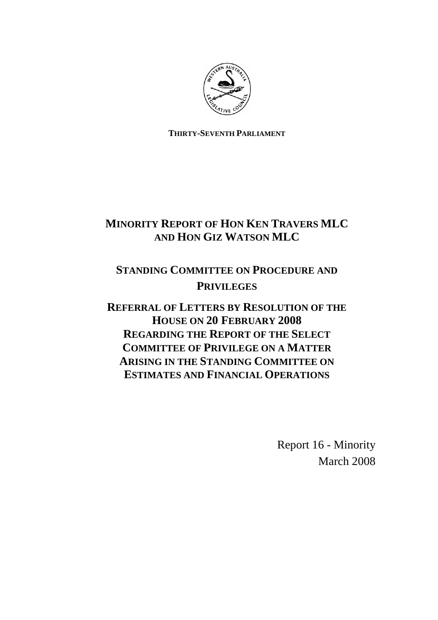

**THIRTY-SEVENTH PARLIAMENT**

## **MINORITY REPORT OF HON KEN TRAVERS MLC AND HON GIZ WATSON MLC**

# **STANDING COMMITTEE ON PROCEDURE AND PRIVILEGES**

**REFERRAL OF LETTERS BY RESOLUTION OF THE HOUSE ON 20 FEBRUARY 2008 REGARDING THE REPORT OF THE SELECT COMMITTEE OF PRIVILEGE ON A MATTER ARISING IN THE STANDING COMMITTEE ON ESTIMATES AND FINANCIAL OPERATIONS**

> Report 16 - Minority March 2008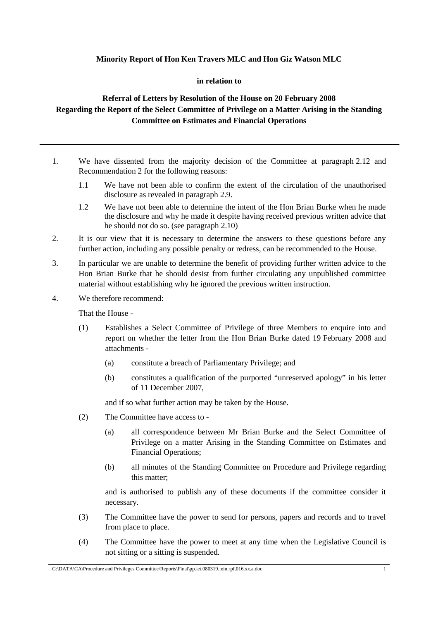### **Minority Report of Hon Ken Travers MLC and Hon Giz Watson MLC**

#### **in relation to**

### **Referral of Letters by Resolution of the House on 20 February 2008 Regarding the Report of the Select Committee of Privilege on a Matter Arising in the Standing Committee on Estimates and Financial Operations**

- 1. We have dissented from the majority decision of the Committee at paragraph 2.12 and Recommendation 2 for the following reasons:
	- 1.1 We have not been able to confirm the extent of the circulation of the unauthorised disclosure as revealed in paragraph 2.9.
	- 1.2 We have not been able to determine the intent of the Hon Brian Burke when he made the disclosure and why he made it despite having received previous written advice that he should not do so. (see paragraph 2.10)
- 2. It is our view that it is necessary to determine the answers to these questions before any further action, including any possible penalty or redress, can be recommended to the House.
- 3. In particular we are unable to determine the benefit of providing further written advice to the Hon Brian Burke that he should desist from further circulating any unpublished committee material without establishing why he ignored the previous written instruction.
- 4. We therefore recommend:

That the House -

- (1) Establishes a Select Committee of Privilege of three Members to enquire into and report on whether the letter from the Hon Brian Burke dated 19 February 2008 and attachments -
	- (a) constitute a breach of Parliamentary Privilege; and
	- (b) constitutes a qualification of the purported "unreserved apology" in his letter of 11 December 2007,

and if so what further action may be taken by the House.

- (2) The Committee have access to
	- (a) all correspondence between Mr Brian Burke and the Select Committee of Privilege on a matter Arising in the Standing Committee on Estimates and Financial Operations;
	- (b) all minutes of the Standing Committee on Procedure and Privilege regarding this matter;

and is authorised to publish any of these documents if the committee consider it necessary.

- (3) The Committee have the power to send for persons, papers and records and to travel from place to place.
- (4) The Committee have the power to meet at any time when the Legislative Council is not sitting or a sitting is suspended.